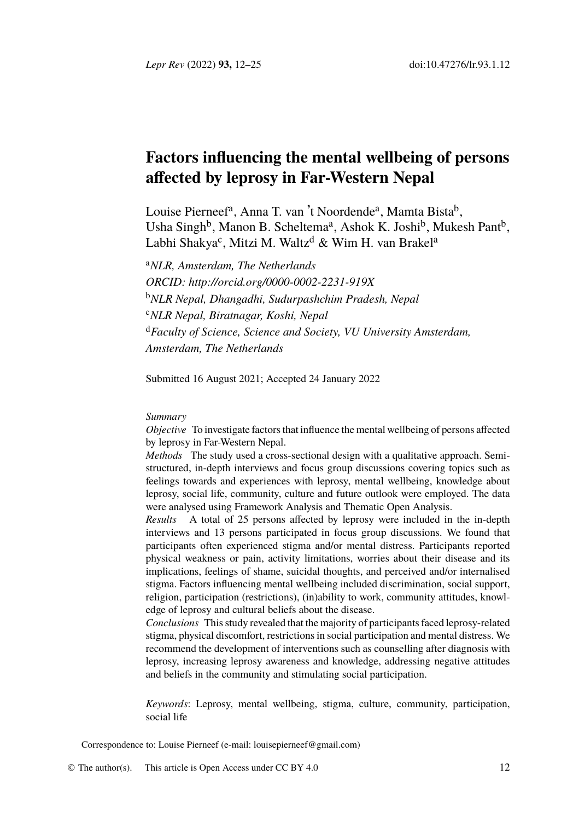*Lepr Rev* (2022) **93,** 12–25 doi:10.47276/lr.93.1.12

# **Facto[rs influencing the mental w](http://orcid.org/0000-0002-2231-919X)ellbeing of persons affected by leprosy in Far-Western Nepal**

Louise Pierneef<sup>a</sup>, Anna T. van 't Noordende<sup>a</sup>, Mamta Bista<sup>b</sup>, Usha Singh<sup>b</sup>, Manon B. Scheltema<sup>a</sup>, Ashok K. Joshi<sup>b</sup>, Mukesh Pant<sup>b</sup>, Labhi Shakya<sup>c</sup>, Mitzi M. Waltz<sup>d</sup> & Wim H. van Brakel<sup>a</sup>

<sup>a</sup>*NLR, Amsterdam, The Netherlands ORCID: http://orcid.org/0000-0002-2231-919X* <sup>b</sup>*NLR Nepal, Dhangadhi, Sudurpashchim Pradesh, Nepal* <sup>c</sup>*NLR Nepal, Biratnagar, Koshi, Nepal* <sup>d</sup>*Faculty of Science, Science and Society, VU University Amsterdam, Amsterdam, The Netherlands*

Submitted 16 August 2021; Accepted 24 January 2022

## *Summary*

*Objective* To investigate factors that influence the mental wellbeing of persons affected by leprosy in Far-Western Nepal.

*Methods* The study used a cross-sectional design with a qualitative approach. Semistructured, in-depth interviews and focus group discussions covering topics such as feelings towards and experiences with leprosy, mental wellbeing, knowledge about leprosy, social life, community, culture and future outlook were employed. The data were analysed using Framework Analysis and Thematic Open Analysis.

*Results* A total of 25 persons affected by leprosy were included in the in-depth interviews and 13 persons participated in focus group discussions. We found that participants often experienced stigma and/or mental distress. Participants reported physical weakness or pain, activity limitations, worries about their disease and its implications, feelings of shame, suicidal thoughts, and perceived and/or internalised stigma. Factors influencing mental wellbeing included discrimination, social support, religion, participation (restrictions), (in)ability to work, community attitudes, knowledge of leprosy and cultural beliefs about the disease.

*Conclusions* This study [revealed that the majority](mailto:louisepierneef@gmail.com) of participants faced leprosy-related stigma, physical discomfort, r[estrictions i](http://creativecommons.org/licenses/by/4.0/)n social participation and mental distress. We recommend the development of interventions such as counselling after diagnosis with leprosy, increasing leprosy awareness and knowledge, addressing negative attitudes and beliefs in the community and stimulating social participation.

*Keywords*: Leprosy, mental wellbeing, stigma, culture, community, participation, social life

Correspondence to: Louise Pierneef (e-mail: louisepierneef@gmail.com)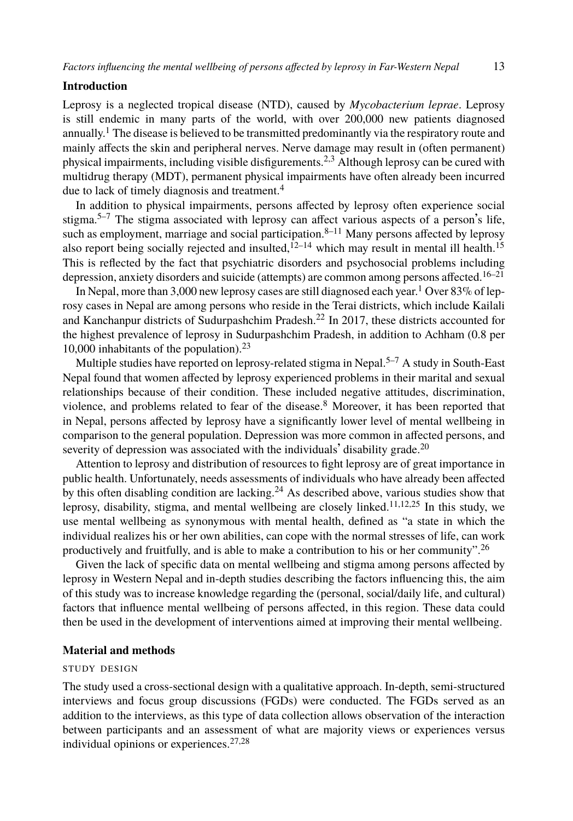#### **Introd[u](#page-11-1)[ct](#page-11-2)ion**

Leprosy is a neglected tropical disease (NTD), cause[d](#page-11-3) [by](#page-12-0) *Mycobacterium leprae*. Leprosy is still endemic in many parts of the world, [w](#page-12-1)[ith](#page-12-2) over 200,000 new patients diagnos[ed](#page-12-3) annually.<sup>1</sup> The disease is believed to be transmitted predominantly via the respiratory route and mainly affects the skin and peripheral nerves. Nerve damage may result in (often perma[ne](#page-12-4)[nt\)](#page-12-5) ph[y](#page-11-4)sical impairments, including visible disfigurements.<sup>2,3</sup> Although leprosy can be cured with multidrug therapy (MDT), permanent physical impairments have often already been incurred due to lack of timely diagnosis and treatment.<sup>4</sup>

In addition to physical impairments, persons affected by leprosy often experience social stigma.<sup>5–7</sup> The stigma associated wi[th](#page-12-6) leprosy can affect various aspects of a person's life, such as employment, marriage and social participation.<sup>8–11</sup> Many p[er](#page-11-1)[so](#page-11-2)ns affected by leprosy also report being socially rejected and insulted,  $^{12-14}$  which may result in mental ill health.<sup>15</sup> This is reflected by the fact that psychiatric disorders and psychosocial problems including depression, anxiety disorders and suicide (attempts) are [c](#page-11-3)ommon among persons affected.<sup>16–21</sup>

In Nepal, more than 3,000 new leprosy cases are still diagnosed each year.<sup>1</sup> Over 83% of leprosy cases in Nepal are among persons who reside in the Terai districts, which include Kailali and Kanchanpur districts of Sudurpashchim Pradesh.<sup>22</sup> In 2017, these dist[rict](#page-12-7)s accounted for the highest prevalence of leprosy in Sudurpashchim Pradesh, in addition to Achham (0.8 per 10,000 inhabitants of the population).<sup>23</sup>

Multiple studies have [re](#page-12-8)ported on leprosy-related stigma in Nepal.<sup>5–7</sup> A study in South-East Nepal found that women affected by leprosy experienced problems i[n t](#page-12-0)[hei](#page-12-1)[r m](#page-12-9)arital and sexual relationships because of their condition. These included negative attitudes, discrimination, violence, and problems related to fear of the disease.<sup>8</sup> Moreover, it has been reported that in Nepal, persons affected by leprosy have a significantly lower level of mental wellbei[ng](#page-12-10) in comparison to the general population. Depression was more common in affected persons, and severity of depression was associated with the individuals' disability grade.<sup>20</sup>

Attention to leprosy and distribution of resources to fight leprosy are of great importance in public health. Unfortunately, needs assessments of individuals who have already been affected by this often disabling condition are lacking.<sup>24</sup> As described above, various studies show that leprosy, disability, stigma, and mental wellbeing are closely linked.<sup>11,12,25</sup> In this study, we use mental wellbeing as synonymous with mental health, defined as "a state in which the individual realizes his or her own abilities, can cope with the normal stresses of life, can work productively and fruitfully, and is able to make a contribution to his or her community".<sup>26</sup>

Given the lack of specific data on mental wellbeing and stigma among persons affected by leprosy in Western Nepal and in-depth studies describing the factors influencing this, the aim of this study was to increase knowledge regarding the (personal, social/daily life, and cultural) factors that influence mental well[bei](#page-12-11)[ng](#page-12-12) of persons affected, in this region. These data could then be used in the development of interventions aimed at improving their mental wellbeing.

## **Material and methods**

## STUDY DESIGN

The study used a cross-sectional design with a qualitative approach. In-depth, semi-structured interviews and focus group discussions (FGDs) were conducted. The FGDs served as an addition to the interviews, as this type of data collection allows observation of the interaction between participants and an assessment of what are majority views or experiences versus individual opinions or experiences.27,28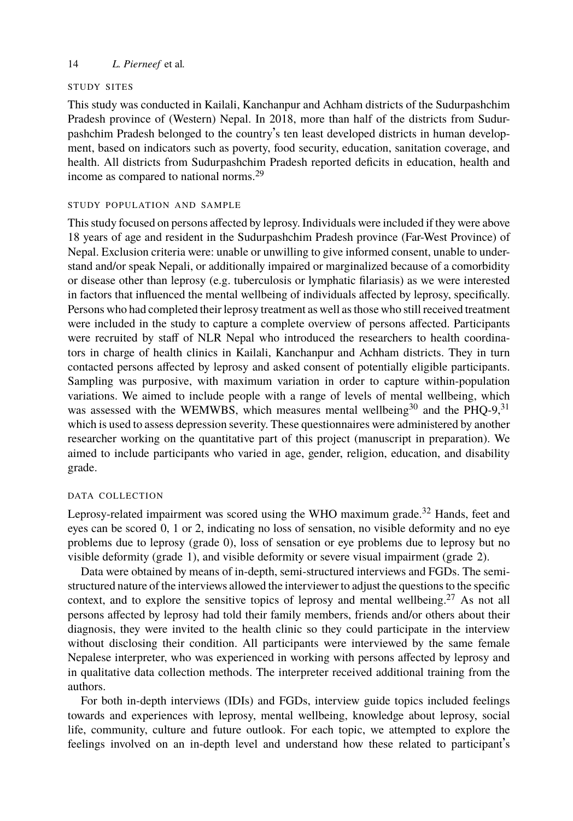#### STUDY SITES

This study was conducted in Kailali, Kanchanpur and Achham districts of the Sudurpashchim Pradesh province of (Western) Nepal. In 2018, more than half of the districts from Sudurpashchim Pradesh belonged to the country's ten least developed districts in human development, based on indicators such as poverty, food security, education, sanitation coverage, and health. All districts from Sudurpashchim Pradesh reported deficits in education, health and income as compared to national norms.<sup>29</sup>

#### STUDY POPULATION AND SAMPLE

This study focused on persons affected by leprosy. Individuals were included if they were above 18 years of age and resident in the Sudurpashchim Pradesh province (Far-West Province) of Nepal. Exclusion criteria were: unable or unwilling to give informed consent, unable to understand and/or speak Nepali, or additionally impaired or marginalized because of a comorbidity or disease other than leprosy (e.g. tuberculosis or lymphatic filariasis) [as](#page-12-13) we were interest[ed](#page-12-14) in factors that influenced the mental wellbeing of individuals affected by leprosy, specifically. Persons who had completed their leprosy treatment as well as those who still received treatment were included in the study to capture a complete overview of persons affected. Participants were recruited by staff of NLR Nepal who introduced the researchers to health coordinators in charge of health clinics in Kailali, Kanchanpur and Achham districts. They in turn contacted persons affected by leprosy and asked consent of potentially eligible participants. Sampling was purposive, with maximum variation in order to capture [w](#page-12-15)ithin-population variations. We aimed to include people with a range of levels of mental wellbeing, which was assessed with the WEMWBS, which measures mental wellbeing<sup>30</sup> and the PHQ-9,<sup>31</sup> which is used to assess depression severity. These questionnaires were administered by another researcher working on the quantitative part of this project (manuscript in preparation). We aimed to include participants who varied in age, gender, religion, education, and disability grade.

#### DATA COLLECTION

Leprosy-related impairment was scored using the WHO maximum grade.<sup>32</sup> Hands, feet and eyes can be scored 0, 1 or 2, indicating no loss of sensation, no visible deformity and no eye problems due to leprosy (grade 0), loss of sensation or eye problems due to leprosy but no visible deformity (grade 1), and visible deformity or severe visual impairment (grade 2).

Data were obtained by means of in-depth, semi-structured interviews and FGDs. The semistructured nature of the interviews allowed the interviewer to adjust the questions to the specific context, and to explore the sensitive topics of leprosy and mental wellbeing.<sup>27</sup> As not all persons affected by leprosy had told their family members, friends and/or others about their diagnosis, they were invited to the health clinic so they could participate in the interview without disclosing their condition. All participants were interviewed by the same female Nepalese interpreter, who was experienced in working with persons affected by leprosy and in qualitative data collection methods. The interpreter received additional training from the authors.

For both in-depth interviews (IDIs) and FGDs, interview guide topics included feelings towards and experiences with leprosy, mental wellbeing, knowledge about leprosy, social life, community, culture and future outlook. For each topic, we attempted to explore the feelings involved on an in-depth level and understand how these related to participant's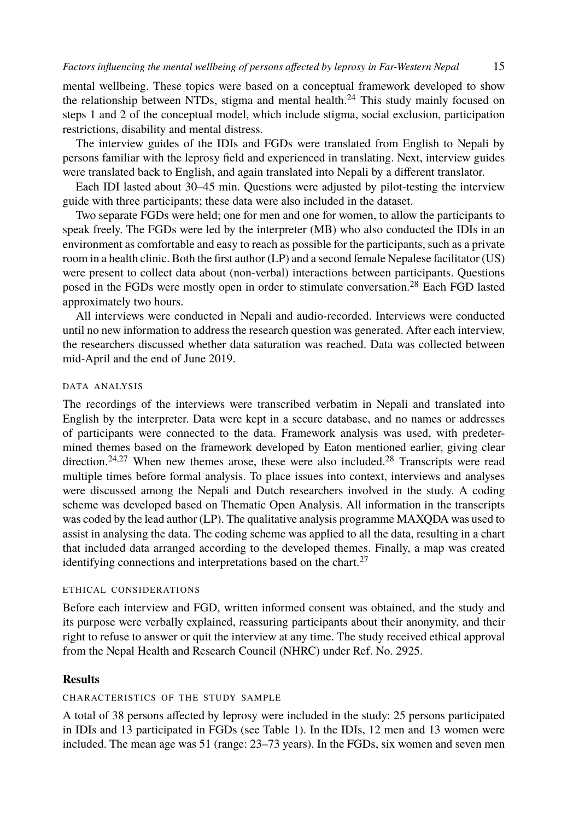mental wellbeing. These topics were based on a conceptual framework developed to show the relationship between NTDs, stigma and mental health.<sup>24</sup> This study mainly focused on steps 1 and 2 of the conceptual model, which include stigma, social exclusion, participation restrictions, disability and mental distress.

The interview guides of the IDIs and FGDs were translated from English to Nepali by persons familiar with the leprosy field and experienced in translating. N[ext](#page-12-12), interview guides were translated back to English, and again translated into Nepali by a different translator.

Each IDI lasted about 30–45 min. Questions were adjusted by pilot-testing the interview guide with three participants; these data were also included in the dataset.

Two separate FGDs were held; one for men and one for women, to allow the participants to speak freely. The FGDs were led by the interpreter (MB) who also conducted the IDIs in an environment as comfortable and easy to reach as possible for the participants, such as a private room in a health clinic. Both the first author (LP) and a second female Nepalese facilitator (US) were present to collect data about (non-verbal) interactions between participants. Questions posed in the FGDs were mostly open in order to stimulate conversation.<sup>28</sup> Each FGD lasted approximately two hours.

All interviews were conducted in Nepali and audio-recorded. Interviews were conducted until no n[ew](#page-12-8) [in](#page-12-11)formation to address the research question was gener[ate](#page-12-12)d. After each interview, the researchers discussed whether data saturation was reached. Data was collected between mid-April and the end of June 2019.

# DATA ANALYSIS

The recordings of the interviews were transcribed verbatim in Nepali and translated into English by the interpreter. Data were kept in a secure database, and no names or addresses of participants were connected to the data. Framework ana[lys](#page-12-11)is was used, with predetermined themes based on the framework developed by Eaton mentioned earlier, giving clear direction.<sup>24,27</sup> When new themes arose, these were also included.<sup>28</sup> Transcripts were read multiple times before formal analysis. To place issues into context, interviews and analyses were discussed among the Nepali and Dutch researchers involved in the study. A coding scheme was developed based on Thematic Open Analysis. All information in the transcripts was coded by the lead author (LP). The qualitative analysis programme MAXQDA was used to assist in analysing the data. The coding scheme was applied to all the data, resulting in a chart that included data arranged according to the developed themes. Finally, a map was created identifying connections and interpretations based on the chart. $27$ 

#### ETHICAL CONSIDERATIONS

Before each interview and FGD, written infor[me](#page-4-0)d consent was obtained, and the study and its purpose were verbally explained, reassuring participants about their anonymity, and their right to refuse to answer or quit the interview at any time. The study received ethical approval from the Nepal Health and Research Council (NHRC) under Ref. No. 2925.

# **Results**

# CHARACTERISTICS OF THE STUDY SAMPLE

A total of 38 persons affected by leprosy were included in the study: 25 persons participated in IDIs and 13 participated in FGDs (see Table 1). In the IDIs, 12 men and 13 women were included. The mean age was 51 (range: 23–73 years). In the FGDs, six women and seven men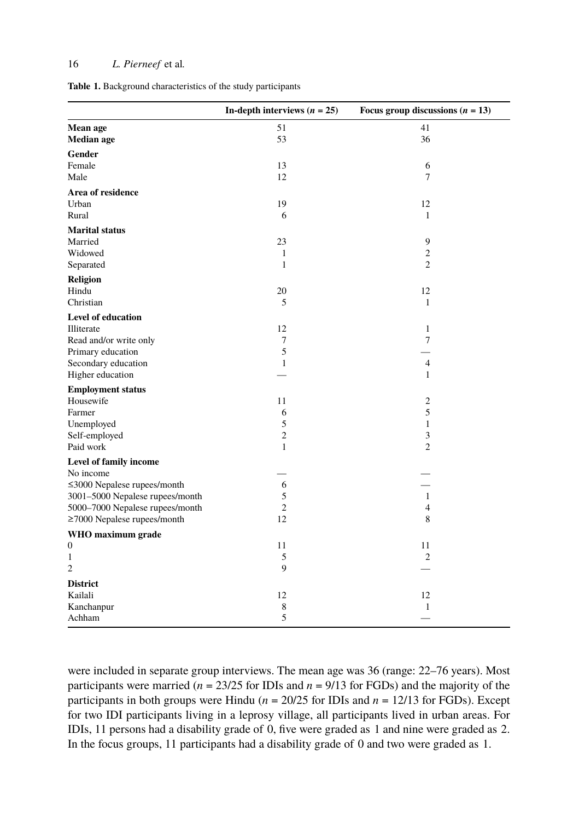<span id="page-4-0"></span>

|  |  | Table 1. Background characteristics of the study participants |  |  |  |  |
|--|--|---------------------------------------------------------------|--|--|--|--|
|--|--|---------------------------------------------------------------|--|--|--|--|

|                                   | In-depth interviews $(n = 25)$ | Focus group discussions $(n = 13)$ |
|-----------------------------------|--------------------------------|------------------------------------|
| Mean age<br><b>Median</b> age     | 51<br>53                       | 41<br>36                           |
| Gender                            |                                |                                    |
| Female                            | 13                             | 6                                  |
| Male                              | 12                             | $\overline{7}$                     |
| Area of residence                 |                                |                                    |
| Urban                             | 19                             | 12                                 |
| Rural                             | 6                              | $\mathbf{1}$                       |
| <b>Marital status</b>             |                                |                                    |
| Married                           | 23                             | 9                                  |
| Widowed                           | $\mathbf{1}$                   | $\sqrt{2}$                         |
| Separated                         | $\mathbf{1}$                   | $\overline{2}$                     |
| <b>Religion</b>                   |                                |                                    |
| Hindu                             | 20                             | 12                                 |
| Christian                         | 5                              | $\mathbf{1}$                       |
| <b>Level of education</b>         |                                |                                    |
| Illiterate                        | 12                             | $\mathbf{1}$                       |
| Read and/or write only            | 7                              | $\overline{7}$                     |
| Primary education                 | 5                              |                                    |
| Secondary education               | 1                              | $\overline{4}$                     |
| Higher education                  |                                | $\mathbf{1}$                       |
| <b>Employment status</b>          |                                |                                    |
| Housewife                         | 11                             | $\mathfrak{2}$                     |
| Farmer                            | 6                              | 5                                  |
| Unemployed                        | 5                              | $\mathbf{1}$                       |
| Self-employed                     | $\overline{2}$                 | $\ensuremath{\mathfrak{Z}}$        |
| Paid work                         | $\mathbf{1}$                   | $\overline{2}$                     |
| Level of family income            |                                |                                    |
| No income                         |                                |                                    |
| $\leq$ 3000 Nepalese rupees/month | 6                              |                                    |
| 3001-5000 Nepalese rupees/month   | 5                              | $\mathbf{1}$                       |
| 5000-7000 Nepalese rupees/month   | $\overline{2}$                 | $\overline{4}$                     |
| $\geq$ 7000 Nepalese rupees/month | 12                             | 8                                  |
| WHO maximum grade                 |                                |                                    |
| $\boldsymbol{0}$                  | 11                             | 11                                 |
| $\mathbf{1}$                      | 5                              | $\overline{c}$                     |
| $\overline{c}$                    | 9                              |                                    |
| <b>District</b>                   |                                |                                    |
| Kailali                           | 12                             | 12                                 |
| Kanchanpur                        | $\,$ 8 $\,$                    | 1                                  |
| Achham                            | 5                              |                                    |

were included in separate group interviews. The mean age was 36 (range: 22–76 years). Most participants were married  $(n = 23/25$  for IDIs and  $n = 9/13$  for FGDs) and the majority of the participants in both groups were Hindu ( $n = 20/25$  for IDIs and  $n = 12/13$  for FGDs). Except for two IDI participants living in a leprosy village, all participants lived in urban areas. For IDIs, 11 persons had a disability grade of 0, five were graded as 1 and nine were graded as 2. In the focus groups, 11 participants had a disability grade of 0 and two were graded as 1.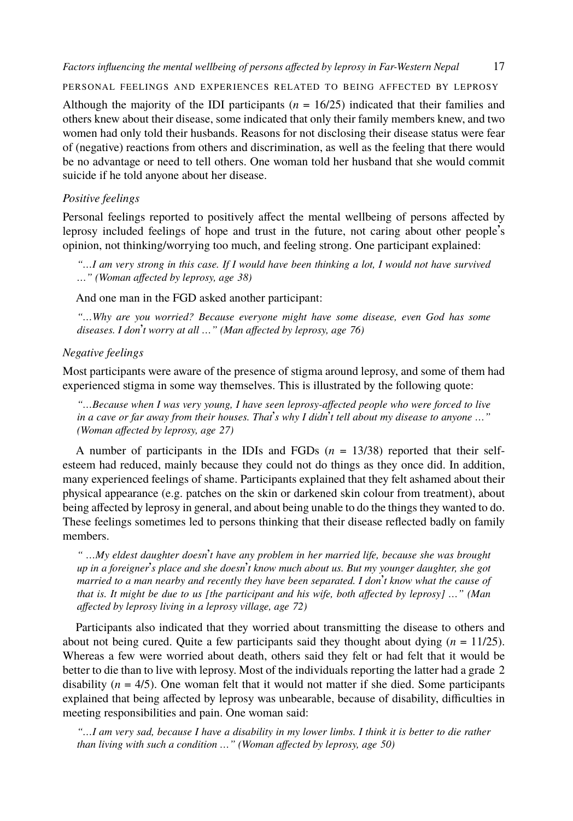PERSONAL FEELINGS AND EXPERIENCES RELATED TO BEING AFFECTED BY LEPROSY

Although the majority of the IDI participants  $(n = 16/25)$  indicated that their families and others knew about their disease, some indicated that only their family members knew, and two women had only told their husbands. Reasons for not disclosing their disease status were fear of (negative) reactions from others and discrimination, as well as the feeling that there would be no advantage or need to tell others. One woman told her husband that she would commit suicide if he told anyone about her disease.

## *Positive feelings*

Personal feelings reported to positively affect the mental wellbeing of persons affected by leprosy included feelings of hope and trust in the future, not caring about other people's opinion, not thinking/worrying too much, and feeling strong. One participant explained:

*"…I am very strong in this case. If I would have been thinking a lot, I would not have survived …" (Woman affected by leprosy, age 38)*

And one man in the FGD asked another participant:

*"…Why are you worried? Because everyone might have some disease, even God has some diseases. I don*'*t worry at all …" (Man affected by leprosy, age 76)*

#### *Negative feelings*

Most participants were aware of the presence of stigma around leprosy, and some of them had experienced stigma in some way themselves. This is illustrated by the following quote:

*"…Because when I was very young, I have seen leprosy-affected people who were forced to live in a cave or far away from their houses. That*'*s why I didn*'*t tell about my disease to anyone …" (Woman affected by leprosy, age 27)*

A number of participants in the IDIs and FGDs (*n* = 13/38) reported that their selfesteem had reduced, mainly because they could not do things as they once did. In addition, many experienced feelings of shame. Participants explained that they felt ashamed about their physical appearance (e.g. patches on the skin or darkened skin colour from treatment), about being affected by leprosy in general, and about being unable to do the things they wanted to do. These feelings sometimes led to persons thinking that their disease reflected badly on family members.

*" …My eldest daughter doesn*'*t have any problem in her married life, because she was brought up in a foreigner*'*s place and she doesn*'*t know much about us. But my younger daughter, she got married to a man nearby and recently they have been separated. I don*'*t know what the cause of that is. It might be due to us [the participant and his wife, both affected by leprosy] …" (Man affected by leprosy living in a leprosy village, age 72)*

Participants also indicated that they worried about transmitting the disease to others and about not being cured. Quite a few participants said they thought about dying  $(n = 11/25)$ . Whereas a few were worried about death, others said they felt or had felt that it would be better to die than to live with leprosy. Most of the individuals reporting the latter had a grade 2 disability (*n* = 4/5). One woman felt that it would not matter if she died. Some participants explained that being affected by leprosy was unbearable, because of disability, difficulties in meeting responsibilities and pain. One woman said:

*"…I am very sad, because I have a disability in my lower limbs. I think it is better to die rather than living with such a condition …" (Woman affected by leprosy, age 50)*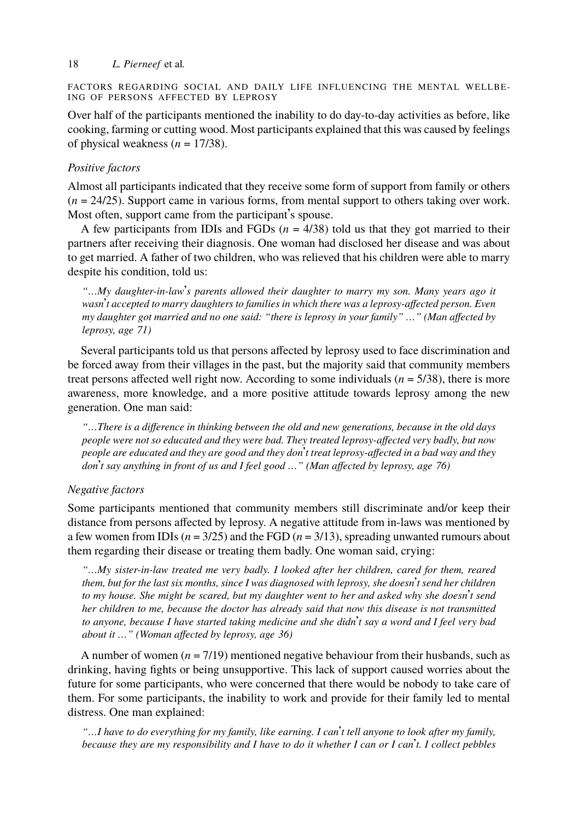FACTORS REGARDING SOCIAL AND DAILY LIFE INFLUENCING THE MENTAL WELLBE-ING OF PERSONS AFFECTED BY LEPROSY

Over half of the participants mentioned the inability to do day-to-day activities as before, like cooking, farming or cutting wood. Most participants explained that this was caused by feelings of physical weakness  $(n = 17/38)$ .

# *Positive factors*

Almost all participants indicated that they receive some form of support from family or others (*n* = 24/25). Support came in various forms, from mental support to others taking over work. Most often, support came from the participant's spouse.

A few participants from IDIs and FGDs  $(n = 4/38)$  told us that they got married to their partners after receiving their diagnosis. One woman had disclosed her disease and was about to get married. A father of two children, who was relieved that his children were able to marry despite his condition, told us:

*"…My daughter-in-law*'*s parents allowed their daughter to marry my son. Many years ago it wasn*'*t accepted to marry daughters to families in which there was a leprosy-affected person. Even my daughter got married and no one said: "there is leprosy in your family" …" (Man affected by leprosy, age 71)*

Several participants told us that persons affected by leprosy used to face discrimination and be forced away from their villages in the past, but the majority said that community members treat persons affected well right now. According to some individuals  $(n = 5/38)$ , there is more awareness, more knowledge, and a more positive attitude towards leprosy among the new generation. One man said:

*"…There is a difference in thinking between the old and new generations, because in the old days people were not so educated and they were bad. They treated leprosy-affected very badly, but now people are educated and they are good and they don*'*t treat leprosy-affected in a bad way and they don*'*t say anything in front of us and I feel good …" (Man affected by leprosy, age 76)*

# *Negative factors*

Some participants mentioned that community members still discriminate and/or keep their distance from persons affected by leprosy. A negative attitude from in-laws was mentioned by a few women from IDIs  $(n = 3/25)$  and the FGD  $(n = 3/13)$ , spreading unwanted rumours about them regarding their disease or treating them badly. One woman said, crying:

*"…My sister-in-law treated me very badly. I looked after her children, cared for them, reared them, but for the last six months, since I was diagnosed with leprosy, she doesn*'*t send her children to my house. She might be scared, but my daughter went to her and asked why she doesn*'*t send her children to me, because the doctor has already said that now this disease is not transmitted to anyone, because I have started taking medicine and she didn*'*t say a word and I feel very bad about it …" (Woman affected by leprosy, age 36)*

A number of women  $(n = 7/19)$  mentioned negative behaviour from their husbands, such as drinking, having fights or being unsupportive. This lack of support caused worries about the future for some participants, who were concerned that there would be nobody to take care of them. For some participants, the inability to work and provide for their family led to mental distress. One man explained:

*"…I have to do everything for my family, like earning. I can*'*t tell anyone to look after my family, because they are my responsibility and I have to do it whether I can or I can*'*t. I collect pebbles*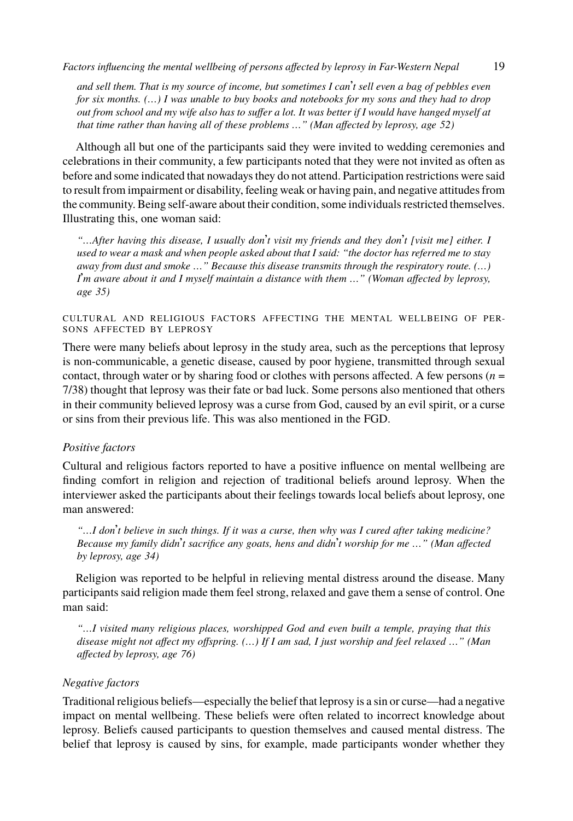*and sell them. That is my source of income, but sometimes I can*'*t sell even a bag of pebbles even for six months. (…) I was unable to buy books and notebooks for my sons and they had to drop out from school and my wife also has to suffer a lot. It was better if I would have hanged myself at that time rather than having all of these problems …" (Man affected by leprosy, age 52)*

Although all but one of the participants said they were invited to wedding ceremonies and celebrations in their community, a few participants noted that they were not invited as often as before and some indicated that nowadays they do not attend. Participation restrictions were said to result from impairment or disability, feeling weak or having pain, and negative attitudes from the community. Being self-aware about their condition, some individuals restricted themselves. Illustrating this, one woman said:

*"…After having this disease, I usually don*'*t visit my friends and they don*'*t [visit me] either. I used to wear a mask and when people asked about that I said: "the doctor has referred me to stay away from dust and smoke …" Because this disease transmits through the respiratory route. (…) I*'*m aware about it and I myself maintain a distance with them …" (Woman affected by leprosy, age 35)*

# CULTURAL AND RELIGIOUS FACTORS AFFECTING THE MENTAL WELLBEING OF PER-SONS AFFECTED BY LEPROSY

There were many beliefs about leprosy in the study area, such as the perceptions that leprosy is non-communicable, a genetic disease, caused by poor hygiene, transmitted through sexual contact, through water or by sharing food or clothes with persons affected. A few persons (*n* = 7/38) thought that leprosy was their fate or bad luck. Some persons also mentioned that others in their community believed leprosy was a curse from God, caused by an evil spirit, or a curse or sins from their previous life. This was also mentioned in the FGD.

# *Positive factors*

Cultural and religious factors reported to have a positive influence on mental wellbeing are finding comfort in religion and rejection of traditional beliefs around leprosy. When the interviewer asked the participants about their feelings towards local beliefs about leprosy, one man answered:

*"…I don*'*t believe in such things. If it was a curse, then why was I cured after taking medicine? Because my family didn*'*t sacrifice any goats, hens and didn*'*t worship for me …" (Man affected by leprosy, age 34)*

Religion was reported to be helpful in relieving mental distress around the disease. Many participants said religion made them feel strong, relaxed and gave them a sense of control. One man said:

*"…I visited many religious places, worshipped God and even built a temple, praying that this disease might not affect my offspring. (…) If I am sad, I just worship and feel relaxed …" (Man affected by leprosy, age 76)*

# *Negative factors*

Traditional religious beliefs—especially the belief that leprosy is a sin or curse—had a negative impact on mental wellbeing. These beliefs were often related to incorrect knowledge about leprosy. Beliefs caused participants to question themselves and caused mental distress. The belief that leprosy is caused by sins, for example, made participants wonder whether they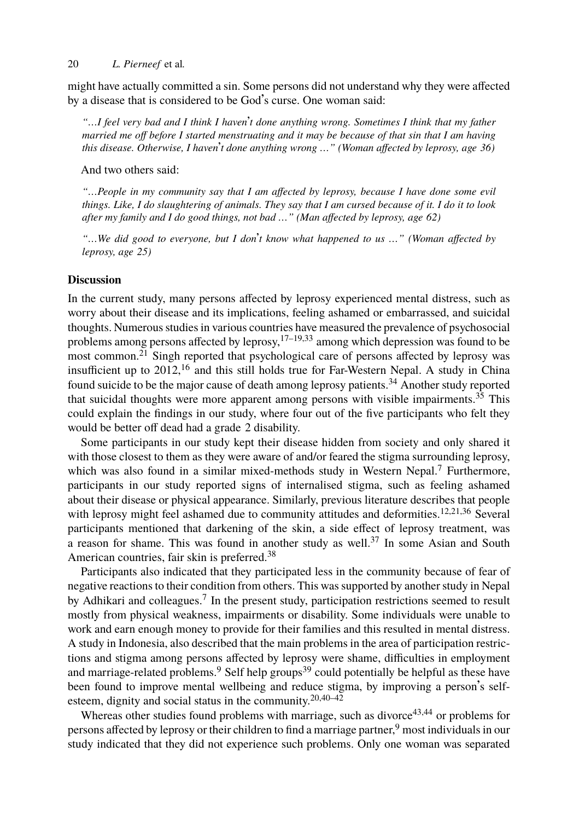might have actually committed a sin. Some persons did not understand why they were affected by a disease that is considered to be God's curse. One woman said:

*"…I feel very bad and I think I haven*'*t done anything wrong. Sometimes I think that my father married me off before I started menstruating and it may be because of that sin that I am having this disease. Otherwise, I haven*'*t done anything wrong …" (Woman affected by leprosy, age 36)*

And two others said:

*"…People in my community say that I am affected by leprosy, because I have done some evil things. Like, I do slaughtering of animals. Th[ey s](#page-12-16)[ay](#page-12-17) [th](#page-12-18)at I am cursed because of it. I do it to look after my fam[ily](#page-12-5) and I do good things, not bad …" (Man affected by leprosy, age 62)*

*"…We did good to ev[ery](#page-12-4)one, but I don*'*t know what happened to us …" (Woman affected by leprosy, age 25)*

# **Discussion**

In the current study, many persons affected by leprosy experienced mental distress, such as worry about their disease and its implications, feeling ashamed or embarrassed, and suicidal thoughts. Numerous studies in various countries have measured the prevalence of psychosocial problems among persons affected by leprosy,  $17-19,33$  among [w](#page-11-2)hich depression was found to be most common.<sup>21</sup> Singh reported that psychological care of persons affected by leprosy was insufficient up to  $2012<sup>16</sup>$  and this still holds true for Far-Western Nepal. A study in China found suicide to be the major cause of death among leprosy patients.<sup>34</sup> Another [st](#page-12-1)[ud](#page-12-5)[y r](#page-12-19)eported that suicidal thoughts were more apparent among persons with visible impairments.<sup>35</sup> This could explain the findings in our study, where four out of the [five](#page-12-20) participants who felt they would be better off dead had a grade 2 dis[ab](#page-12-21)ility.

Some participants in our study kept their disease hidden from society and only shared it with those closest to them as they were aware of and/or feared the stigma surrounding leprosy, which was also found in a [s](#page-11-2)imilar mixed-methods study in Western Nepal.<sup>7</sup> Furthermore, participants in our study reported signs of internalised stigma, such as feeling ashamed about their disease or physical appearance. Similarly, previous literature describes that people with leprosy might feel ashamed due to community attitudes and deformities.<sup>12,21,36</sup> Several participants mentioned that darkening of the skin, a side effect of leprosy treatment, was a reason for shame. This was [fo](#page-11-5)und in another [stu](#page-13-0)dy as well.<sup>37</sup> In some Asian and South American countries, fair skin is preferred.<sup>38</sup>

Participants also indicated that they participate[d l](#page-12-7)[ess](#page-13-1) [in](#page-13-2) the community because of fear of negative reactions to their condition from others. This was supported by a[no](#page-13-3)[the](#page-13-4)r study in Nepal by Adhika[ri](#page-11-5) and colleagues.<sup>7</sup> In the present study, participation restrictions seemed to result mostly from physical weakness, impairments or disability. Some individuals were unable to work and earn enough money to provide for their families and this resulted in mental distress. A study in Indonesia, also described that the main problems in the area of participation restrictions and stigma among persons affected by leprosy were shame, difficulties in employment and marriage-related problems.<sup>9</sup> Self help groups<sup>39</sup> could potentially be helpful as these have been found to improve mental wellbeing and reduce stigma, by improving a person's selfesteem, dignity and social status in the community.20,40–42

Whereas other studies found problems with marriage, such as divorce $43,44$  or problems for persons affected by leprosy or their children to find a marriage partner,<sup>9</sup> most individuals in our study indicated that they did not experience such problems. Only one woman was separated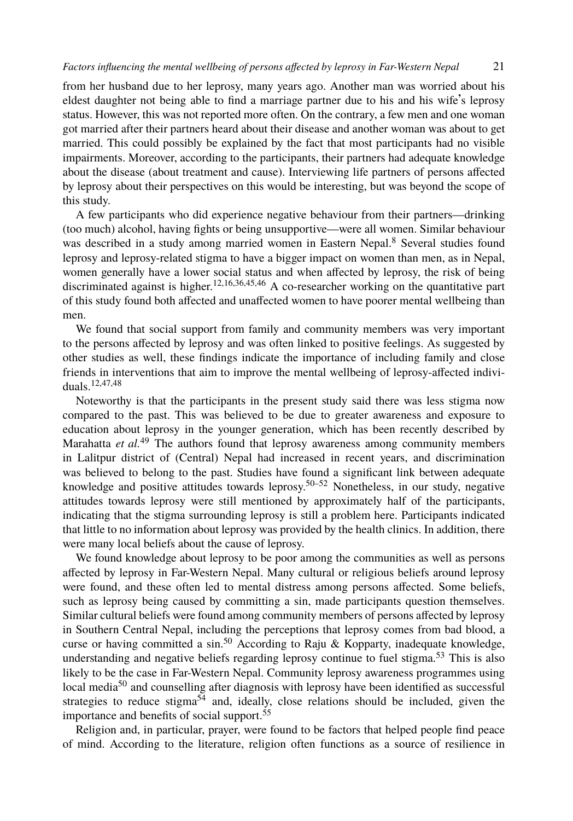from her husband due to her leprosy, many years ago. Another man was worried about his eldest daughter not being able to find a marriage partner due to his and his wife's leprosy status. However, this was not reported more often. On the contrary, a f[e](#page-11-3)w men and one woman got married after their partners heard about their disease and another woman was about to get married. This could possibly be explained by the fact that most participants had no visible impairments. Moreover, accord[in](#page-12-1)[g t](#page-12-4)[o t](#page-12-19)[he](#page-13-5) [p](#page-13-6)articipants, their partners had adequate knowledge about the disease (about treatment and cause). Interviewing life partners of persons affected by leprosy about their perspectives on this would be interesting, but was beyond the scope of this study.

A few participants who did experience negative behaviour from their partners—drinking (too much) alcohol, having fights or being unsupportive—were all women. Similar behaviour was described in a study among married women in Eastern Nepal.<sup>8</sup> Several studies found lepro[sy](#page-12-1) [an](#page-13-7)[d l](#page-13-8)eprosy-related stigma to have a bigger impact on women than men, as in Nepal, women generally have a lower social status and when affected by leprosy, the risk of being discriminated against is higher.<sup>12,16,36,45,46</sup> A co-researcher working on the quantitative part of this study found both affected and unaffected women to have poorer mental wellbeing than men.

We found that social support from family and community members was very important to the persons affected by leprosy and was often linked to positive feelings. As suggested by other studies as well, these findings indicate the i[m](#page-13-9)[por](#page-13-10)tance of including family and close friends in interventions that aim to improve the mental wellbeing of leprosy-affected individuals.12,47,48

Noteworthy is that the participants in the present study said there was less stigma now compared to the past. This was believed to be due to greater awareness and exposure to education about leprosy in the younger generation, which has been recently described by Marahatta *et al.*<sup>49</sup> The authors found that leprosy awareness among community members in Lalitpur district of (Central) Nepal had increased in recent years, and discrimination was believed to belong to the past. Studies have found a significant link between adequate knowledge and positive attitudes towards leprosy.<sup>50–52</sup> Nonetheless, in our study, negative attitudes towards leprosy were still mentioned by approximately half of the participants, indicating that the stigma surrou[ndi](#page-13-9)ng leprosy is still a problem here. Participants indicated that little to no information about leprosy was provided by the health clinics. In [ad](#page-13-11)dition, there were many local beliefs about the cause of leprosy.

We foun[d k](#page-13-9)nowledge about leprosy to be poor among the communities as well as persons affected by leprosy in Far-[Wes](#page-13-12)tern Nepal. Many cultural or religious beliefs around leprosy were found, and these often led to ment[al](#page-13-13) distress among persons affected. Some beliefs, such as leprosy being caused by committing a sin, made participants question themselves. Similar cultural beliefs were found among community members of persons affected by leprosy in Southern Central Nepal, including the perceptions that leprosy comes from bad blood, a curse or having committed a sin.<sup>50</sup> According to Raju & Kopparty, inadequate knowledge, understanding and negative beliefs regarding leprosy continue to fuel stigma.<sup>53</sup> This is also likely to be the case in Far-Western Nepal. Community leprosy awareness programmes using local media<sup>50</sup> and counselling after diagnosis with leprosy have been identified as successful strategies to reduce stigma<sup>54</sup> and, ideally, close relations should be included, given the importance and benefits of social support.<sup>55</sup>

Religion and, in particular, prayer, were found to be factors that helped people find peace of mind. According to the literature, religion often functions as a source of resilience in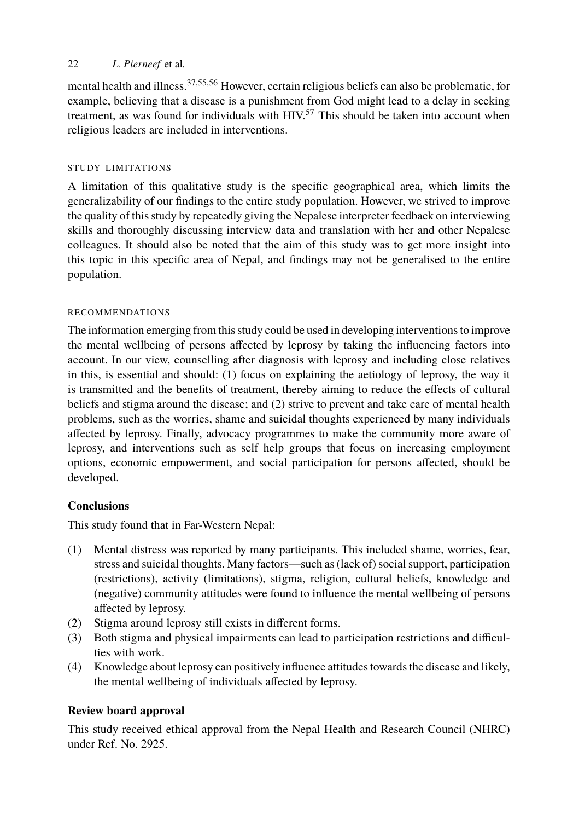mental health and illness.37,55,56 However, certain religious beliefs can also be problematic, for example, believing that a disease is a punishment from God might lead to a delay in seeking treatment, as was found for individuals with  $HIV<sub>57</sub>$  This should be taken into account when religious leaders are included in interventions.

# STUDY LIMITATIONS

A limitation of this qualitative study is the specific geographical area, which limits the generalizability of our findings to the entire study population. However, we strived to improve the quality of this study by repeatedly giving the Nepalese interpreter feedback on interviewing skills and thoroughly discussing interview data and translation with her and other Nepalese colleagues. It should also be noted that the aim of this study was to get more insight into this topic in this specific area of Nepal, and findings may not be generalised to the entire population.

### RECOMMENDATIONS

The information emerging from this study could be used in developing interventions to improve the mental wellbeing of persons affected by leprosy by taking the influencing factors into account. In our view, counselling after diagnosis with leprosy and including close relatives in this, is essential and should: (1) focus on explaining the aetiology of leprosy, the way it is transmitted and the benefits of treatment, thereby aiming to reduce the effects of cultural beliefs and stigma around the disease; and (2) strive to prevent and take care of mental health problems, such as the worries, shame and suicidal thoughts experienced by many individuals affected by leprosy. Finally, advocacy programmes to make the community more aware of leprosy, and interventions such as self help groups that focus on increasing employment options, economic empowerment, and social participation for persons affected, should be developed.

# **Conclusions**

This study found that in Far-Western Nepal:

- (1) Mental distress was reported by many participants. This included shame, worries, fear, stress and suicidal thoughts. Many factors—such as (lack of) social support, participation (restrictions), activity (limitations), stigma, religion, cultural beliefs, knowledge and (negative) community attitudes were found to influence the mental wellbeing of persons affected by leprosy.
- (2) Stigma around leprosy still exists in different forms.
- (3) Both stigma and physical impairments can lead to participation restrictions and difficulties with work.
- (4) Knowledge about leprosy can positively influence attitudes towards the disease and likely, the mental wellbeing of individuals affected by leprosy.

# **Review board approval**

This study received ethical approval from the Nepal Health and Research Council (NHRC) under Ref. No. 2925.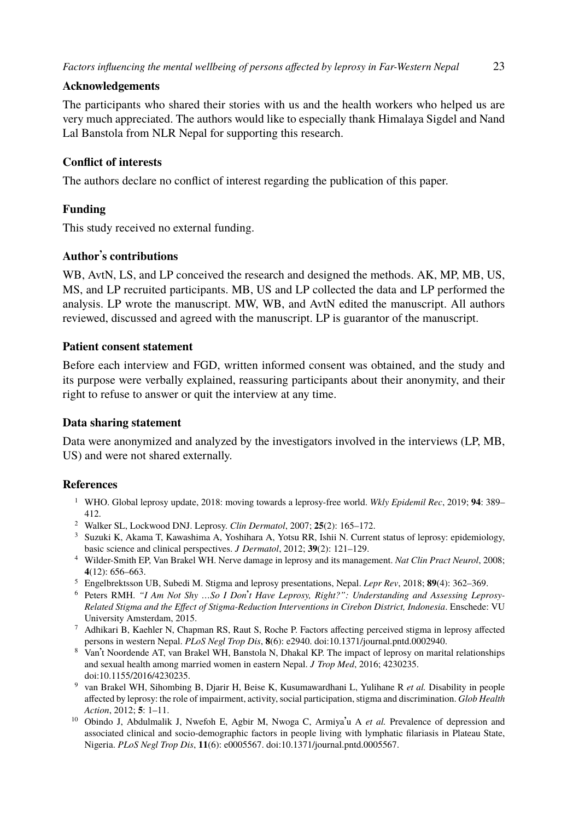### **Acknowledgements**

The participants who shared their stories with us and the health workers who helped us are very much appreciated. The authors would like to especially thank Himalaya Sigdel and Nand Lal Banstola from NLR Nepal for supporting this research.

# **Conflict of interests**

The authors declare no conflict of interest regarding the publication of this paper.

# **Funding**

This study received no external funding.

# **Author**'**s contributions**

WB, AvtN, LS, and LP conceived the research and designed the methods. AK, MP, MB, US, MS, and LP recruited participants. MB, US and LP collected the data and LP performed the analysis. LP wrote the manuscript. MW, WB, and AvtN edited the manuscript. All authors reviewed, discussed and agreed with the manuscript. LP is guarantor of the manuscript.

# **Patient consent statement**

<span id="page-11-4"></span>Before each interview and FGD, written informed consent was obtained, and the study and its purpose were verbally explained, reassuring participants about their anonymity, and their right to refuse to answer or quit the interview at any time.

# <span id="page-11-0"></span>**Data sharing statement**

<span id="page-11-1"></span>Data were anonymized and analyzed by the investigators involved in the interviews (LP, MB, US) and were not shared externally.

#### <span id="page-11-2"></span>**References**

- <sup>1</sup> WHO. Global leprosy update, 2018: moving towards a leprosy-[free world.](https://doi.org/10.1371/journal.pntd.0002940) *[Wkly Epidemil Rec](https://doi.org/10.1371/journal.pntd.0002940)*[,](https://doi.org/10.1371/journal.pntd.0002940) 2019; **94**: 389– 412.
- <span id="page-11-3"></span><sup>2</sup> Walker SL, Lockwood DNJ. Leprosy. *Clin Dermatol*, 2007; **25**(2): 165–172.
- <sup>3</sup> Suzuki K, Akama T, Kawashima A, Yoshihara A, Yotsu RR, Ishii N. Current status of leprosy: epidemiology, bas[ic science and clinical p](https://doi.org/10.1155/2016/4230235)erspectives. *J Dermatol*, 2012; **39**(2): 121–129.
- <span id="page-11-5"></span><sup>4</sup> Wilder-Smith EP, Van Brakel WH. Nerve damage in leprosy and its management. *Nat Clin Pract Neurol*, 2008; **4**(12): 656–663.
- <sup>5</sup> Engelbrektsson UB, Subedi M. Stigma and leprosy presentations, Nepal. *Lepr Rev*, 2018; **89**(4): 362–369.
- <sup>6</sup> Peters RMH. *"I Am Not Shy …So I Don*'*t Have Leprosy, Right?": Understanding and Assessing Leprosy-Related Stigma and the Effect of Stigma-Reduction [Interventions in Cirebon Distric](https://doi.org/10.1371/journal.pntd.0005567)t, Indonesia*. Enschede: VU University Amsterdam, 2015.
- <sup>7</sup> Adhikari B, Kaehler N, Chapman RS, Raut S, Roche P. Factors affecting perceived stigma in leprosy affected persons in western Nepal. *PLoS Negl Trop Dis*, **8**(6): e2940. doi:10.1371/journal.pntd.0002940.
- <sup>8</sup> Van't Noordende AT, van Brakel WH, Banstola N, Dhakal KP. The impact of leprosy on marital relationships and sexual health among married women in eastern Nepal. *J Trop Med*, 2016; 4230235. doi:10.1155/2016/4230235.
- <sup>9</sup> van Brakel WH, Sihombing B, Djarir H, Beise K, Kusumawardhani L, Yulihane R *et al.* Disability in people affected by leprosy: the role of impairment, activity, social participation, stigma and discrimination. *Glob Health Action*, 2012; **5**: 1–11.
- <sup>10</sup> Obindo J, Abdulmalik J, Nwefoh E, Agbir M, Nwoga C, Armiya'u A *et al.* Prevalence of depression and associated clinical and socio-demographic factors in people living with lymphatic filariasis in Plateau State, Nigeria. *PLoS Negl Trop Dis*, **11**(6): e0005567. doi:10.1371/journal.pntd.0005567.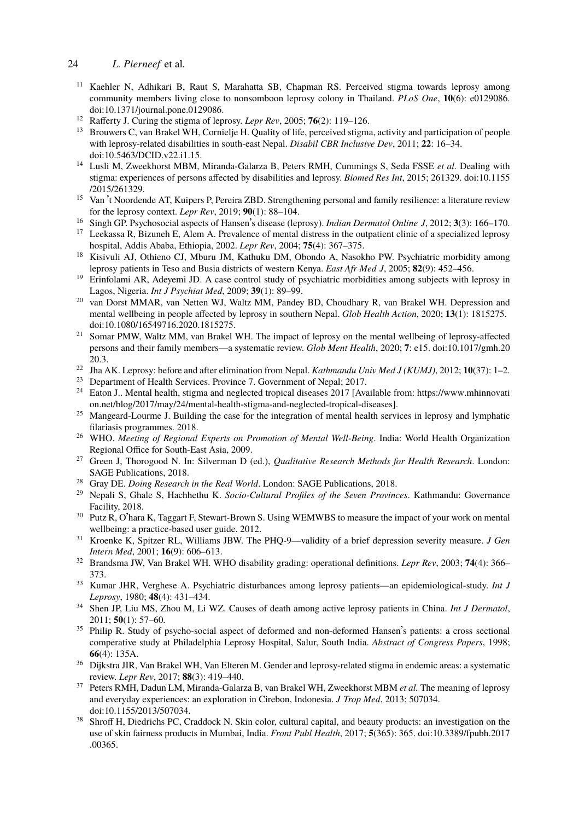- <span id="page-12-4"></span><span id="page-12-3"></span><span id="page-12-2"></span><span id="page-12-1"></span><span id="page-12-0"></span><sup>11</sup> Kaehler N, Adhikari B, Raut S, Marahatta SB, Chapman RS. Perceived stigma towards leprosy among community members living close to nonsomboon leprosy colony in Thailand. *PLoS One*, **10**(6): e0129086. doi:10.1371/journal.pone.0129086.
- <span id="page-12-16"></span><sup>12</sup> Rafferty J. Curing the stigma of leprosy. *Lepr Rev*, 2005; **76**(2): 119–126.
- <sup>13</sup> Brouwers C, van Brakel WH, Cornielje H. Quality of life, perceived stigma, activity and participation of people with leprosy-related disabilities in south-east Nepal. *Disabil CBR Inclusive Dev*, 2011; **22**: 16–34. doi:10.5463/DCID.v22.i1.15.
- <span id="page-12-17"></span><span id="page-12-7"></span><sup>14</sup> Lusli M, Zweekhorst MBM, Miranda-Galarza B, Peters RMH, Cummings S, Seda FSSE *et al.* Dealing with stigma: experiences of persons affected by disabilities and leprosy. *Biomed Res Int*, 2015; 261329. doi:10.1155 /2015/261329.
- <span id="page-12-5"></span><sup>15</sup> Van ['](https://doi.org/10.1080/16549716.2020.1815275)[t Noordende AT, Kuipers P, Perei](https://doi.org/10.1080/16549716.2020.1815275)ra ZBD. Strengthening personal and family resilience: a literature review for the leprosy context. *Lepr Rev*, 2019; **90**(1): 88–104.
- <sup>16</sup> Singh GP. Psychosocial aspects of Hansen's disease (leprosy). *Indian Dermatol Online J*, 201[2;](https://doi.org/10.1017/gmh.2020.3) **[3](https://doi.org/10.1017/gmh.2020.3)**[\(3\): 166–170.](https://doi.org/10.1017/gmh.2020.3) <sup>17</sup> [Leek](https://doi.org/10.1017/gmh.2020.3)assa R, Bizuneh E, Alem A. Prevalence of mental distress in the outpatient clinic of a specialized leprosy
- <span id="page-12-6"></span>hospital, Addis Ababa, Ethiopia, 2002. *Lepr Rev*, 2004; **75**(4): 367–375. <sup>18</sup> Kisivuli AJ, Othieno CJ, Mburu JM, Kathuku DM, Obondo A, Nasokho PW. Psychiatric morbidi[ty among](https://www.mhinnovation.net/blog/2017/may/24/mental-health-stigma-and-neglected-tropical-diseases) leprosy patients in Teso and Busia districts of western Kenya. *East Afr Med J*, 2005; **[82](https://www.mhinnovation.net/blog/2017/may/24/mental-health-stigma-and-neglected-tropical-diseases)**[\(9\): 452–456.](https://www.mhinnovation.net/blog/2017/may/24/mental-health-stigma-and-neglected-tropical-diseases)
- <span id="page-12-9"></span><span id="page-12-8"></span><sup>19</sup> [Erinfolami AR, Adeyemi JD. A case control study of psychiatric morbidities a](https://www.mhinnovation.net/blog/2017/may/24/mental-health-stigma-and-neglected-tropical-diseases)mong subjects with leprosy in Lagos, Nigeria. *Int J Psychiat Med*, 2009; **39**(1): 89–99.
- <span id="page-12-10"></span><sup>20</sup> van Dorst MMAR, van Netten WJ, Waltz MM, Pandey BD, Choudhary R, van Brakel WH. Depression and mental wellbeing in people affected by leprosy in southern Nepal. *Glob Health Action*, 2020; **13**(1): 1815275. doi:10.1080/16549716.2020.1815275.
- <span id="page-12-11"></span><sup>21</sup> Somar PMW, Waltz MM, van Brakel WH. The impact of leprosy on the mental wellbeing of leprosy-affected persons and their family members—a systematic review. *Glob Ment Health*, 2020; **7**: e15. doi:10.1017/gmh.20 20.3.
- <span id="page-12-12"></span><sup>22</sup> Jha AK. Leprosy: before and after elimination from Nepal. *Kathmandu Univ Med J (KUMJ)*, 2012; **10**(37): 1–2.
- <span id="page-12-13"></span><sup>23</sup> Department of Health Services. Province 7. Government of Nepal; 2017.<br><sup>24</sup> Eaton J. Martal health, stigma and neglected tropical diseases 2017 J Ave
- <sup>24</sup> Eaton J.. Mental health, stigma and neglected tropical diseases 2017 [Available from: https://www.mhinnovati on.net/blog/2017/may/24/mental-health-stigma-and-neglected-tropical-diseases].
- <span id="page-12-14"></span><sup>25</sup> Mangeard-Lourme J. Building the case for the integration of mental health services in leprosy and lymphatic filariasis programmes. 2018.
- <span id="page-12-15"></span><sup>26</sup> WHO. *Meeting of Regional Experts on Promotion of Mental Well-Being*. India: World Health Organization Regional Office for South-East Asia, 2009.
- <span id="page-12-18"></span><sup>27</sup> Green J, Thorogood N. In: Silverman D (ed.), *Qualitative Research Methods for Health Research*. London: SAGE Publications, 2018.
- <sup>28</sup> Gray DE. *Doing Research in the Real World*. London: SAGE Publications, 2018.
- <sup>29</sup> Nepali S, Ghale S, Hachhethu K. *Socio-Cultural Profiles of the Seven Provinces*. Kathmandu: Governance Facility, 2018.
- <sup>30</sup> Putz R, O'hara K, Taggart F, Stewart-Brown S. Using WEMWBS to measure the impact of your work on mental wellbeing: a practice-based user guide. 2012.
- <span id="page-12-19"></span><sup>31</sup> Kroenke K, Spitzer RL, Williams JBW. The PHQ-9—validity of a brief depression severity measure. *J Gen Intern Med*, 2001; **16**(9): 606–613.
- <span id="page-12-20"></span><sup>32</sup> Brandsma JW, Van Brakel WH. WHO disability grading: operational definitions. *Lepr Rev*, 2003; **74**(4): 366– 373.
- <span id="page-12-21"></span><sup>33</sup> Ku[mar JHR, Verghese A.](https://doi.org/10.1155/2013/507034) Psychiatric disturbances among leprosy patients—an epidemiological-study. *Int J Leprosy*, 1980; **48**(4): 431–434.
- <sup>34</sup> Shen JP, Liu MS, Zhou M, Li WZ. Causes of death among active leprosy patients in C[hina.](https://doi.org/10.3389/fpubh.2017.00365) *[Int J Dermatol](https://doi.org/10.3389/fpubh.2017.00365)*[,](https://doi.org/10.3389/fpubh.2017.00365) [2011;](https://doi.org/10.3389/fpubh.2017.00365) **[5](https://doi.org/10.3389/fpubh.2017.00365)0**(1): 57–60.
- <sup>35</sup> Philip R. Study of psycho-social aspect of deformed and non-deformed Hansen's patients: a cross sectional comperative study at Philadelphia Leprosy Hospital, Salur, South India. *Abstract of Congress Papers*, 1998; **66**(4): 135A.
- <sup>36</sup> Dijkstra JIR, Van Brakel WH, Van Elteren M. Gender and leprosy-related stigma in endemic areas: a systematic review. *Lepr Rev*, 2017; **88**(3): 419–440.
- <sup>37</sup> Peters RMH, Dadun LM, Miranda-Galarza B, van Brakel WH, Zweekhorst MBM *et al.* The meaning of leprosy and everyday experiences: an exploration in Cirebon, Indonesia. *J Trop Med*, 2013; 507034. doi:10.1155/2013/507034.
- <sup>38</sup> Shroff H, Diedrichs PC, Craddock N. Skin color, cultural capital, and beauty products: an investigation on the use of skin fairness products in Mumbai, India. *Front Publ Health*, 2017; **5**(365): 365. doi:10.3389/fpubh.2017 .00365.